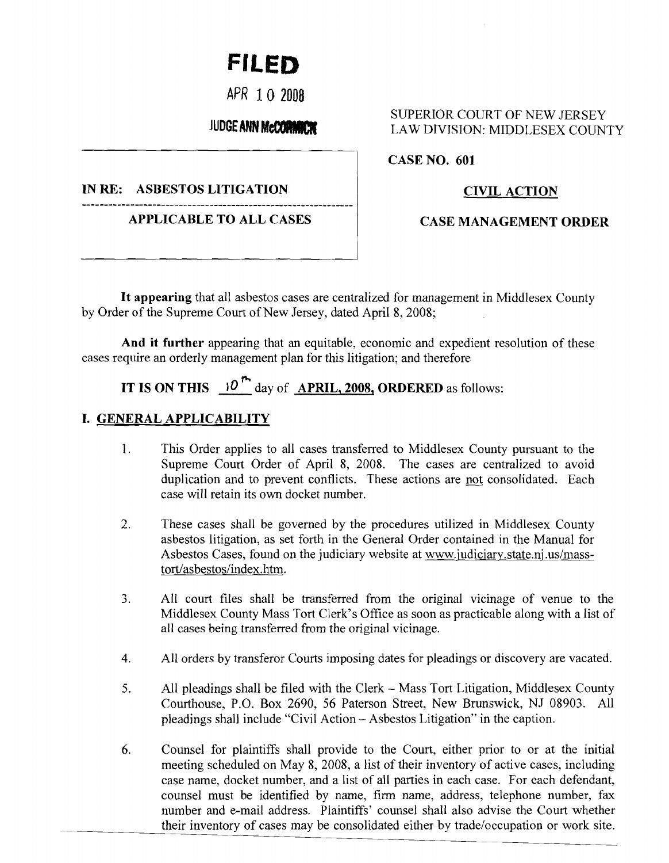# **FILED**

**APR 10 2008** 

IN RE: ASBESTOS LITIGATION CIVIL ACTION

**APPLICABLE TO ALL CASES | CASE MANAGEMENT ORDER** 

### SUPERIOR COURT OF NEW JERSEY JUDGEANN MCCORNICH LAW DIVISION: MIDDLESEX COUNTY

**CASE NO. 601** 

**It appearing** that all asbestos cases are centralized for management in Middlesex County by Order of the Supreme Court of New Jersey, dated April 8,2008;

**And it further** appearing that an equitable, economic and expedient resolution of these cases require an orderly management plan for this litigation; and therefore

## **IT IS ON THIS**  $\left|0\right|^{m}$  day of **APRIL, 2008, ORDERED** as follows:

### **I. GENERAL APPLICABILITY**

- 1. This Order applies to all cases transferred to Middlesex County pursuant to the Supreme Court Order of April 8, 2008. The cases are centralized to avoid duplication and to prevent conflicts. These actions are not consolidated. Each case will retain its own docket number.
- 2. These cases shall be governed by the procedures utilized in Middlesex County asbestos litigation, as set forth in the General Order contained in the Manual for Asbestos Cases, found on the judiciary website at www.judiciary.state.nj.us/masstort/asbestos/index.htm.
- 3. All court files shall be transferred from the original vicinage of venue to the Middlesex County Mass Tort Clerk's Office as soon as practicable along with a list of all cases being transferred from the original vicinage.
- 4. All orders by transferor Courts imposing dates for pleadings or discovery are vacated.
- 5. All pleadings shall be filed with the Clerk Mass Tort Litigation, Middlesex County Courthouse, P.O. Box 2690, 56 Paterson Street, New Brunswick, NJ 08903. All pleadings shall include "Civil Action - Asbestos Litigation" in the caption.
- 6. Counsel for plaintiffs shall provide to the Court, either prior to or at the initial meeting scheduled on May 8, 2008, a list of their inventory of active cases, including case name, docket number, and a list of all parties in each case. For each defendant, counsel must be identified by name, firm name, address, telephone number, fax number and e-mail address. Plaintiffs' counsel shall also advise the Court whether their inventory of cases may be consolidated either by trade/occupation or work site.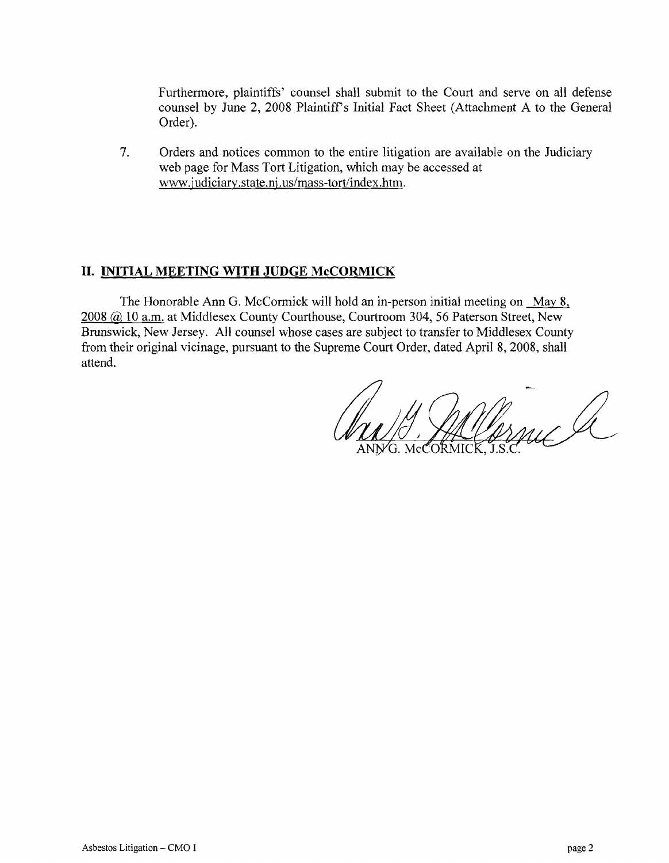Furthermore, plaintiffs' counsel shall submit to the Court and serve on all defense counsel by June 2, 2008 Plaintiff's Initial Fact Sheet (Attachment A to the General Order).

7. Orders and notices common to the entire litigation are available on the Judiciary web page for Mass Tort Litigation, which may be accessed at www.judiciary.state.nj.us/mass-tort/index.htm.

### **II. INITIAL MEETING WITH JUDGE McCORMICK**

The Honorable Ann G. McCormick will hold an in-person initial meeting on May 8, 2008 @ 10 a.m. at Middlesex County Courthouse, Courtroom 304, 56 Paterson Street, New Brunswick, New Jersey. All counsel whose cases are subject to transfer to Middlesex County from their original vicinage, pursuant to the Supreme Court Order, dated April 8,2008, shall attend.

G. Marnuc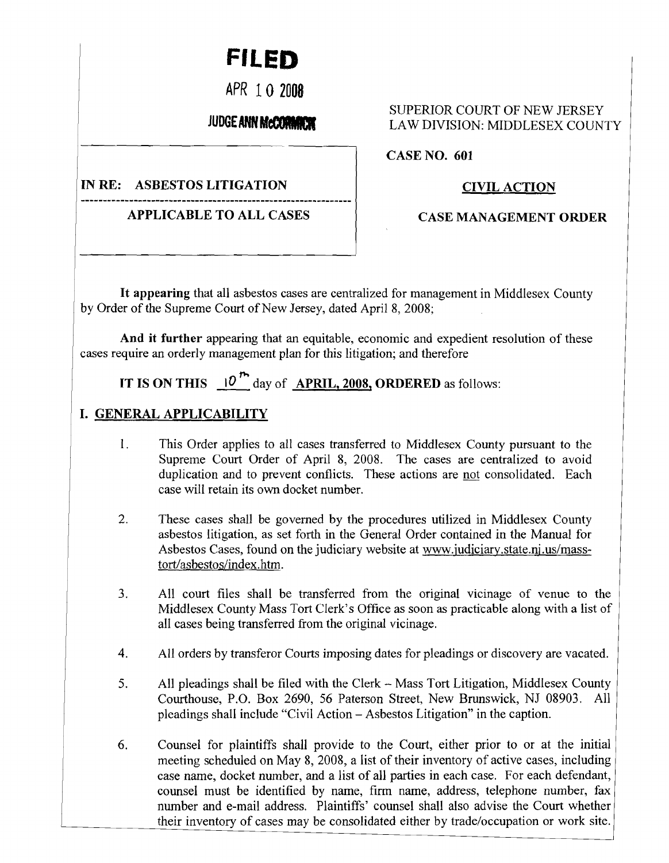# **FILED**

APR 10 2008

### **JUDGE ANN MCCORMANY**

IN RE: ASBESTOS LITIGATION

APPLICABLE TO ALL CASES

### SUPERIOR COURT OF NEW JERSEY LAW DIVISION: MIDDLESEX COUNTY

CASE NO. 601

### CIVIL ACTION

CASE MANAGEMENT ORDER

It appearing that all asbestos cases are centralized for management in Middlesex County by Order of the Supreme Court of New Jersey, dated April 8, 2008;

And it further appearing that an equitable, economic and expedient resolution of these cases require an orderly management plan for this litigation; and therefore

### ,... IT IS ON THIS  $\frac{10}{2}$  day of APRIL, 2008, ORDERED as follows:

### I. GENERAL APPLICABILITY

- 1. This Order applies to all cases transferred to Middlesex County pursuant to the Supreme Court Order of April 8, 2008. The cases are centralized to avoid duplication and to prevent conflicts. These actions are not consolidated. Each case will retain its own docket number.
- 2. These cases shall be governed by the procedures utilized in Middlesex County asbestos litigation, as set forth in the General Order contained in the Manual for Asbestos Cases, found on the judiciary website at www.judiciary.state.nj.us/masstort/asbestos/index.htm.
- 3. All court files shall be transferred from the original vicinage of venue to the Middlesex County Mass Tort Clerk's Office as soon as practicable along with a list of all cases being transferred from the original vicinage.
- 4. All orders by transferor Courts imposing dates for pleadings or discovery are vacated.
- 5. All pleadings shall be filed with the Clerk Mass Tort Litigation, Middlesex County Courthouse, P.O. Box 2690, 56 Paterson Street, New Brunswick, NJ 08903. All pleadings shall include "Civil Action - Asbestos Litigation" in the caption.
- 6. Counsel for plaintiffs shall provide to the Court, either prior to or at the initial meeting scheduled on May 8, 2008, a list of their inventory of active cases, including case name, docket number, and a list of all parties in each case. For each defendant, counsel must be identified by name, firm name, address, telephone number, fax number and e-mail address. Plaintiffs' counsel shall also advise the Court whether their inventory of cases may be consolidated either by trade/occupation or work site.